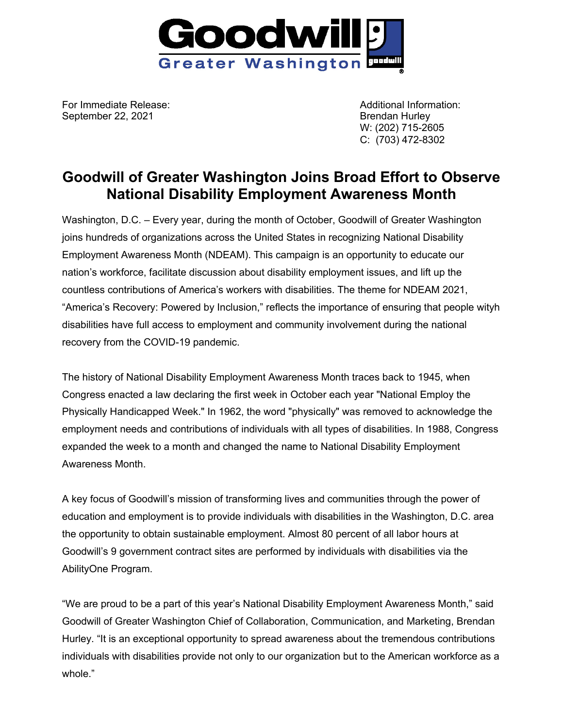

For Immediate Release: Additional Information: September 22, 2021 **Brendan Hurley** 

W: (202) 715-2605 C: (703) 472-8302

## **Goodwill of Greater Washington Joins Broad Effort to Observe National Disability Employment Awareness Month**

Washington, D.C. – Every year, during the month of October, Goodwill of Greater Washington joins hundreds of organizations across the United States in recognizing National Disability Employment Awareness Month (NDEAM). This campaign is an opportunity to educate our nation's workforce, facilitate discussion about disability employment issues, and lift up the countless contributions of America's workers with disabilities. The theme for NDEAM 2021, "America's Recovery: Powered by Inclusion," reflects the importance of ensuring that people wityh disabilities have full access to employment and community involvement during the national recovery from the COVID-19 pandemic.

The history of National Disability Employment Awareness Month traces back to 1945, when Congress enacted a law declaring the first week in October each year "National Employ the Physically Handicapped Week." In 1962, the word "physically" was removed to acknowledge the employment needs and contributions of individuals with all types of disabilities. In 1988, Congress expanded the week to a month and changed the name to National Disability Employment Awareness Month.

A key focus of Goodwill's mission of transforming lives and communities through the power of education and employment is to provide individuals with disabilities in the Washington, D.C. area the opportunity to obtain sustainable employment. Almost 80 percent of all labor hours at Goodwill's 9 government contract sites are performed by individuals with disabilities via the AbilityOne Program.

"We are proud to be a part of this year's National Disability Employment Awareness Month," said Goodwill of Greater Washington Chief of Collaboration, Communication, and Marketing, Brendan Hurley. "It is an exceptional opportunity to spread awareness about the tremendous contributions individuals with disabilities provide not only to our organization but to the American workforce as a whole."